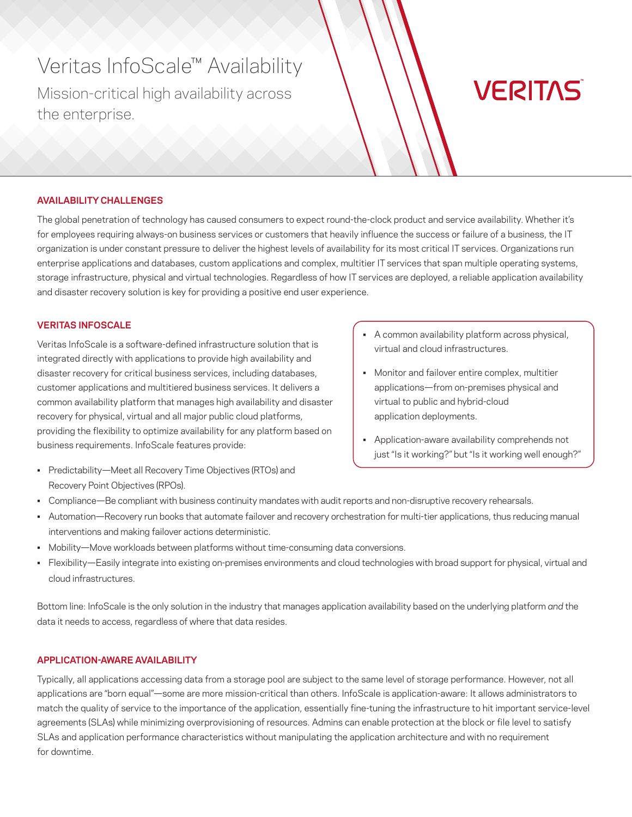# Veritas InfoScale™ Availability

Mission-critical high availability across the enterprise.

# **VERITAS**

# **AVAILABILITY CHALLENGES**

The global penetration of technology has caused consumers to expect round-the-clock product and service availability. Whether it's for employees requiring always-on business services or customers that heavily influence the success or failure of a business, the IT organization is under constant pressure to deliver the highest levels of availability for its most critical IT services. Organizations run enterprise applications and databases, custom applications and complex, multitier IT services that span multiple operating systems, storage infrastructure, physical and virtual technologies. Regardless of how IT services are deployed, a reliable application availability and disaster recovery solution is key for providing a positive end user experience.

## **VERITAS INFOSCALE**

Veritas InfoScale is a software-defined infrastructure solution that is integrated directly with applications to provide high availability and disaster recovery for critical business services, including databases, customer applications and multitiered business services. It delivers a common availability platform that manages high availability and disaster recovery for physical, virtual and all major public cloud platforms, providing the flexibility to optimize availability for any platform based on business requirements. InfoScale features provide:

• Predictability—Meet all Recovery Time Objectives (RTOs) and Recovery Point Objectives (RPOs).

- A common availability platform across physical, virtual and cloud infrastructures.
- Monitor and failover entire complex, multitier applications—from on-premises physical and virtual to public and hybrid-cloud application deployments.
- Application-aware availability comprehends not just "Is it working?" but "Is it working well enough?"
- Compliance—Be compliant with business continuity mandates with audit reports and non-disruptive recovery rehearsals.
- Automation—Recovery run books that automate failover and recovery orchestration for multi-tier applications, thus reducing manual interventions and making failover actions deterministic.
- Mobility—Move workloads between platforms without time-consuming data conversions.
- Flexibility—Easily integrate into existing on-premises environments and cloud technologies with broad support for physical, virtual and cloud infrastructures.

Bottom line: InfoScale is the only solution in the industry that manages application availability based on the underlying platform *and* the data it needs to access, regardless of where that data resides.

# **APPLICATION-AWARE AVAILABILITY**

Typically, all applications accessing data from a storage pool are subject to the same level of storage performance. However, not all applications are "born equal"—some are more mission-critical than others. InfoScale is application-aware: It allows administrators to match the quality of service to the importance of the application, essentially fine-tuning the infrastructure to hit important service-level agreements (SLAs) while minimizing overprovisioning of resources. Admins can enable protection at the block or file level to satisfy SLAs and application performance characteristics without manipulating the application architecture and with no requirement for downtime.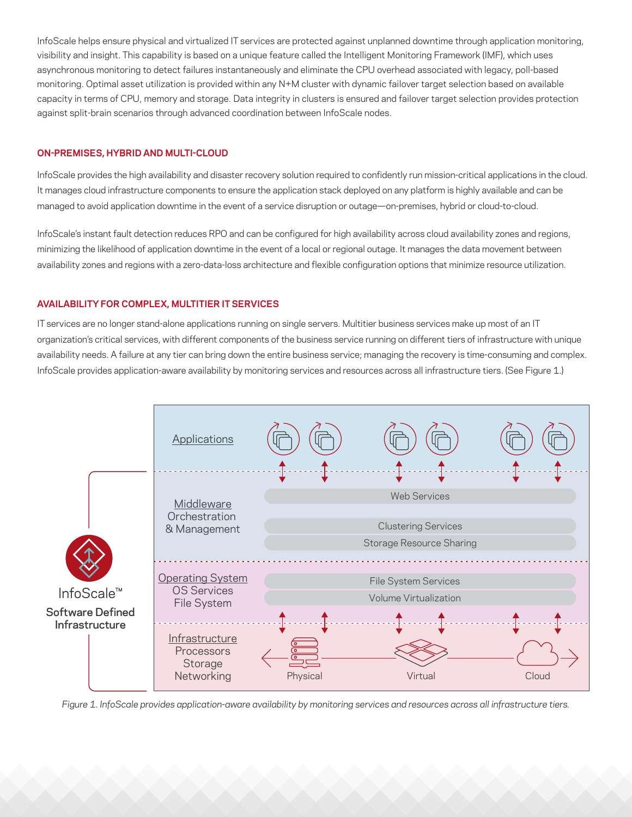InfoScale helps ensure physical and virtualized IT services are protected against unplanned downtime through application monitoring, visibility and insight. This capability is based on a unique feature called the Intelligent Monitoring Framework (IMF), which uses asynchronous monitoring to detect failures instantaneously and eliminate the CPU overhead associated with legacy, poll-based monitoring. Optimal asset utilization is provided within any N+M cluster with dynamic failover target selection based on available capacity in terms of CPU, memory and storage. Data integrity in clusters is ensured and failover target selection provides protection against split-brain scenarios through advanced coordination between InfoScale nodes.

# **ON-PREMISES, HYBRID AND MULTI-CLOUD**

InfoScale provides the high availability and disaster recovery solution required to confidently run mission-critical applications in the cloud. It manages cloud infrastructure components to ensure the application stack deployed on any platform is highly available and can be managed to avoid application downtime in the event of a service disruption or outage—on-premises, hybrid or cloud-to-cloud.

InfoScale's instant fault detection reduces RPO and can be configured for high availability across cloud availability zones and regions, minimizing the likelihood of application downtime in the event of a local or regional outage. It manages the data movement between availability zones and regions with a zero-data-loss architecture and flexible configuration options that minimize resource utilization.

# **AVAILABILITY FOR COMPLEX, MULTITIER IT SERVICES**

IT services are no longer stand-alone applications running on single servers. Multitier business services make up most of an IT organization's critical services, with different components of the business service running on different tiers of infrastructure with unique availability needs. A failure at any tier can bring down the entire business service; managing the recovery is time-consuming and complex. InfoScale provides application-aware availability by monitoring services and resources across all infrastructure tiers. (See Figure 1.)



*Figure 1. InfoScale provides application-aware availability by monitoring services and resources across all infrastructure tiers.*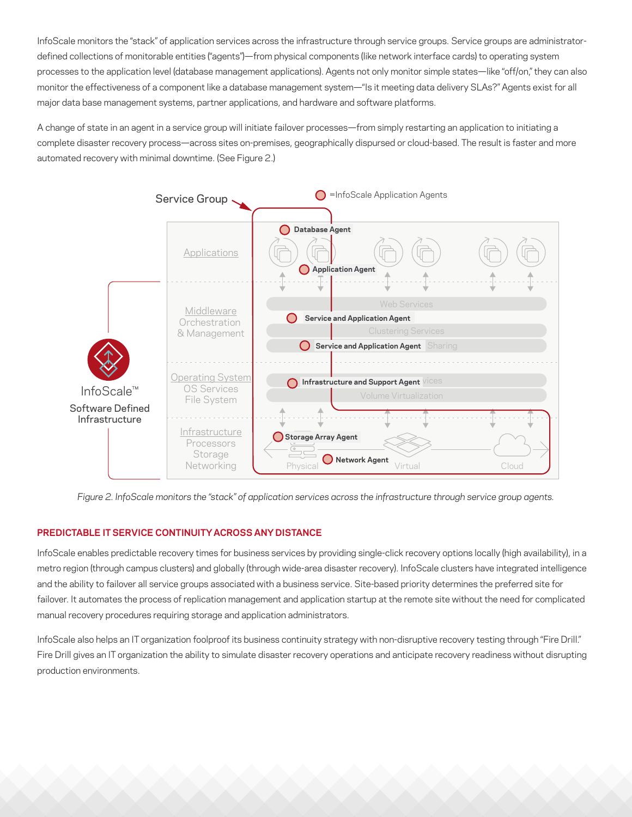InfoScale monitors the "stack" of application services across the infrastructure through service groups. Service groups are administratordefined collections of monitorable entities ("agents")—from physical components (like network interface cards) to operating system processes to the application level (database management applications). Agents not only monitor simple states—like "off/on," they can also monitor the effectiveness of a component like a database management system—"Is it meeting data delivery SLAs?" Agents exist for all major data base management systems, partner applications, and hardware and software platforms.

A change of state in an agent in a service group will initiate failover processes—from simply restarting an application to initiating a complete disaster recovery process—across sites on-premises, geographically dispursed or cloud-based. The result is faster and more automated recovery with minimal downtime. (See Figure 2.)



*Figure 2. InfoScale monitors the "stack" of application services across the infrastructure through service group agents.*

# **PREDICTABLE IT SERVICE CONTINUITY ACROSS ANY DISTANCE**

InfoScale enables predictable recovery times for business services by providing single-click recovery options locally (high availability), in a metro region (through campus clusters) and globally (through wide-area disaster recovery). InfoScale clusters have integrated intelligence and the ability to failover all service groups associated with a business service. Site-based priority determines the preferred site for failover. It automates the process of replication management and application startup at the remote site without the need for complicated manual recovery procedures requiring storage and application administrators.

InfoScale also helps an IT organization foolproof its business continuity strategy with non-disruptive recovery testing through "Fire Drill." Fire Drill gives an IT organization the ability to simulate disaster recovery operations and anticipate recovery readiness without disrupting production environments.